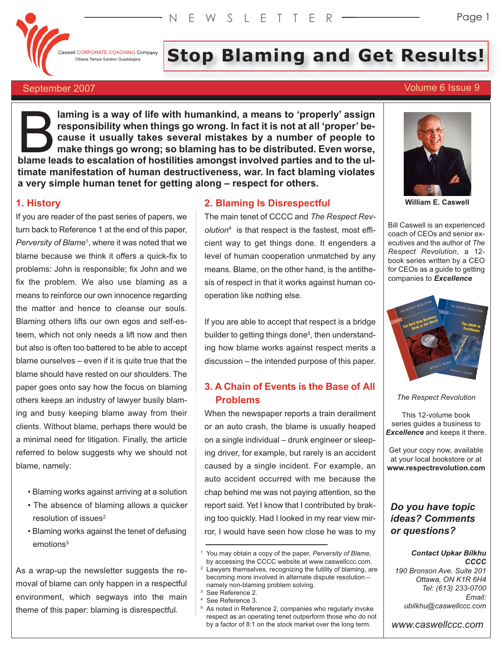

# Il CORPORATE COACHING Company Staratov Guadalajara **Stop Blaming and Get Results!**

# September 2007 Volume 6 Issue 9

# **laming is a way of life with humankind, a means to 'properly' assign responsibility when things go wrong. In fact it is not at all 'proper' because it usually takes several mistakes by a number of people to make things go wrong; so blaming has to be distributed. Even worse, blaming is a way of life with humankind, a means to 'properly' assign responsibility when things go wrong. In fact it is not at all 'proper' be-<br>cause it usually takes several mistakes by a number of people to make things timate manifestation of human destructiveness, war. In fact blaming violates a very simple human tenet for getting along – respect for others.**

# **1. History**

If you are reader of the past series of papers, we turn back to Reference 1 at the end of this paper, Perversity of Blame<sup>1</sup>, where it was noted that we blame because we think it offers a quick-fix to problems: John is responsible; fix John and we fix the problem. We also use blaming as a means to reinforce our own innocence regarding the matter and hence to cleanse our souls. Blaming others lifts our own egos and self-esteem, which not only needs a lift now and then but also is often too battered to be able to accept blame ourselves – even if it is quite true that the blame should have rested on our shoulders. The paper goes onto say how the focus on blaming others keeps an industry of lawyer busily blaming and busy keeping blame away from their clients. Without blame, perhaps there would be a minimal need for litigation. Finally, the article referred to below suggests why we should not blame, namely:

- Blaming works against arriving at a solution
- The absence of blaming allows a quicker  $resolution of issues<sup>2</sup>$
- Blaming works against the tenet of defusing emotions<sup>3</sup>

As a wrap-up the newsletter suggests the removal of blame can only happen in a respectful environment, which segways into the main theme of this paper: blaming is disrespectful.

#### **2. Blaming Is Disrespectful**

The main tenet of CCCC and *The Respect Revolution*<sup>4</sup> is that respect is the fastest, most efficient way to get things done. It engenders a level of human cooperation unmatched by any means. Blame, on the other hand, is the antithesis of respect in that it works against human cooperation like nothing else.

If you are able to accept that respect is a bridge builder to getting things done<sup>5</sup>, then understanding how blame works against respect merits a discussion – the intended purpose of this paper.

# **3. A Chain of Events is the Base of All Problems**

When the newspaper reports a train derailment or an auto crash, the blame is usually heaped on a single individual – drunk engineer or sleeping driver, for example, but rarely is an accident caused by a single incident. For example, an auto accident occurred with me because the chap behind me was not paying attention, so the report said. Yet I know that I contributed by braking too quickly. Had I looked in my rear view mirror, I would have seen how close he was to my

- 
- 



**William E. Caswell**

Bill Caswell is an experienced coach of CEOs and senior executives and the author of *The Respect Revolution*, a 12 book series written by a CEO for CEOs as a guide to getting companies to *Excellence*



*The Respect Revolution*

This 12-volume book series guides a business to *Excellence* and keeps it there.

Get your copy now, available at your local bookstore or at **www.respectrevolution.com**

# *Do you have topic ideas? Comments or questions?*

#### *Contact Upkar Bilkhu CCCC*

*190 Bronson Ave. Suite 201 Ottawa, ON K1R 6H4 Tel: (613) 233-0700 Email: ubilkhu@caswellccc.com*

*www.caswellccc.com*

<sup>1</sup> You may obtain a copy of the paper, *Perversity of Blame*, by accessing the CCCC website at www.caswellccc.com.

<sup>&</sup>lt;sup>2</sup> Lawyers themselves, recognizing the futility of blaming, are becoming more involved in alternate dispute resolution – namely non-blaming problem solving.<br>
<sup>3</sup> See Reference 2.<br>
<sup>4</sup> See Reference 3.<br>
<sup>5</sup> As noted in Reference 2. companies v

As noted in Reference 2, companies who regularly invoke respect as an operating tenet outperform those who do not by a factor of 8:1 on the stock market over the long term.